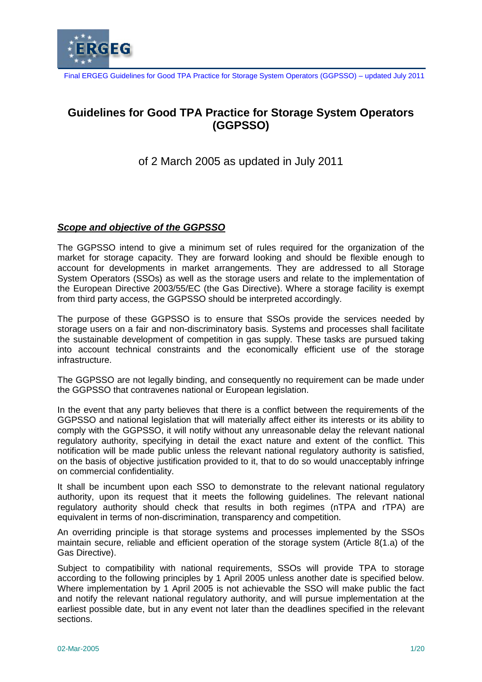

# **Guidelines for Good TPA Practice for Storage System Operators (GGPSSO)**

of 2 March 2005 as updated in July 2011

### *Scope and objective of the GGPSSO*

The GGPSSO intend to give a minimum set of rules required for the organization of the market for storage capacity. They are forward looking and should be flexible enough to account for developments in market arrangements. They are addressed to all Storage System Operators (SSOs) as well as the storage users and relate to the implementation of the European Directive 2003/55/EC (the Gas Directive). Where a storage facility is exempt from third party access, the GGPSSO should be interpreted accordingly.

The purpose of these GGPSSO is to ensure that SSOs provide the services needed by storage users on a fair and non-discriminatory basis. Systems and processes shall facilitate the sustainable development of competition in gas supply. These tasks are pursued taking into account technical constraints and the economically efficient use of the storage infrastructure.

The GGPSSO are not legally binding, and consequently no requirement can be made under the GGPSSO that contravenes national or European legislation.

In the event that any party believes that there is a conflict between the requirements of the GGPSSO and national legislation that will materially affect either its interests or its ability to comply with the GGPSSO, it will notify without any unreasonable delay the relevant national regulatory authority, specifying in detail the exact nature and extent of the conflict. This notification will be made public unless the relevant national regulatory authority is satisfied, on the basis of objective justification provided to it, that to do so would unacceptably infringe on commercial confidentiality.

It shall be incumbent upon each SSO to demonstrate to the relevant national regulatory authority, upon its request that it meets the following guidelines. The relevant national regulatory authority should check that results in both regimes (nTPA and rTPA) are equivalent in terms of non-discrimination, transparency and competition.

An overriding principle is that storage systems and processes implemented by the SSOs maintain secure, reliable and efficient operation of the storage system (Article 8(1.a) of the Gas Directive).

Subject to compatibility with national requirements, SSOs will provide TPA to storage according to the following principles by 1 April 2005 unless another date is specified below. Where implementation by 1 April 2005 is not achievable the SSO will make public the fact and notify the relevant national regulatory authority, and will pursue implementation at the earliest possible date, but in any event not later than the deadlines specified in the relevant sections.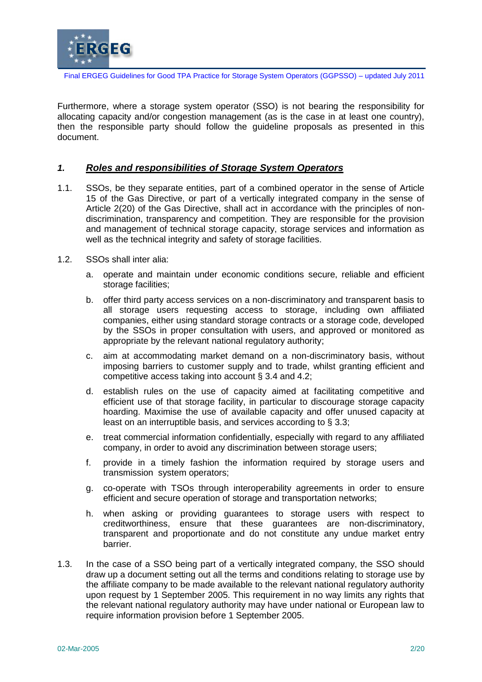

Furthermore, where a storage system operator (SSO) is not bearing the responsibility for allocating capacity and/or congestion management (as is the case in at least one country), then the responsible party should follow the guideline proposals as presented in this document.

#### *1. Roles and responsibilities of Storage System Operators*

- 1.1. SSOs, be they separate entities, part of a combined operator in the sense of Article 15 of the Gas Directive, or part of a vertically integrated company in the sense of Article 2(20) of the Gas Directive, shall act in accordance with the principles of nondiscrimination, transparency and competition. They are responsible for the provision and management of technical storage capacity, storage services and information as well as the technical integrity and safety of storage facilities.
- 1.2. SSOs shall inter alia:
	- a. operate and maintain under economic conditions secure, reliable and efficient storage facilities;
	- b. offer third party access services on a non-discriminatory and transparent basis to all storage users requesting access to storage, including own affiliated companies, either using standard storage contracts or a storage code, developed by the SSOs in proper consultation with users, and approved or monitored as appropriate by the relevant national regulatory authority;
	- c. aim at accommodating market demand on a non-discriminatory basis, without imposing barriers to customer supply and to trade, whilst granting efficient and competitive access taking into account § 3.4 and 4.2;
	- d. establish rules on the use of capacity aimed at facilitating competitive and efficient use of that storage facility, in particular to discourage storage capacity hoarding. Maximise the use of available capacity and offer unused capacity at least on an interruptible basis, and services according to § 3.3;
	- e. treat commercial information confidentially, especially with regard to any affiliated company, in order to avoid any discrimination between storage users;
	- f. provide in a timely fashion the information required by storage users and transmission system operators;
	- g. co-operate with TSOs through interoperability agreements in order to ensure efficient and secure operation of storage and transportation networks;
	- h. when asking or providing guarantees to storage users with respect to creditworthiness, ensure that these guarantees are non-discriminatory, transparent and proportionate and do not constitute any undue market entry barrier.
- 1.3. In the case of a SSO being part of a vertically integrated company, the SSO should draw up a document setting out all the terms and conditions relating to storage use by the affiliate company to be made available to the relevant national regulatory authority upon request by 1 September 2005. This requirement in no way limits any rights that the relevant national regulatory authority may have under national or European law to require information provision before 1 September 2005.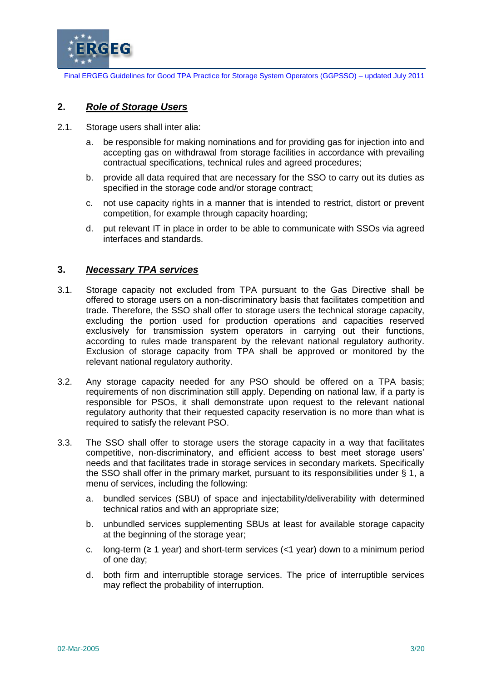

### **2.** *Role of Storage Users*

- 2.1. Storage users shall inter alia:
	- a. be responsible for making nominations and for providing gas for injection into and accepting gas on withdrawal from storage facilities in accordance with prevailing contractual specifications, technical rules and agreed procedures;
	- b. provide all data required that are necessary for the SSO to carry out its duties as specified in the storage code and/or storage contract;
	- c. not use capacity rights in a manner that is intended to restrict, distort or prevent competition, for example through capacity hoarding;
	- d. put relevant IT in place in order to be able to communicate with SSOs via agreed interfaces and standards.

### **3.** *Necessary TPA services*

- 3.1. Storage capacity not excluded from TPA pursuant to the Gas Directive shall be offered to storage users on a non-discriminatory basis that facilitates competition and trade. Therefore, the SSO shall offer to storage users the technical storage capacity, excluding the portion used for production operations and capacities reserved exclusively for transmission system operators in carrying out their functions, according to rules made transparent by the relevant national regulatory authority. Exclusion of storage capacity from TPA shall be approved or monitored by the relevant national regulatory authority.
- 3.2. Any storage capacity needed for any PSO should be offered on a TPA basis; requirements of non discrimination still apply. Depending on national law, if a party is responsible for PSOs, it shall demonstrate upon request to the relevant national regulatory authority that their requested capacity reservation is no more than what is required to satisfy the relevant PSO.
- 3.3. The SSO shall offer to storage users the storage capacity in a way that facilitates competitive, non-discriminatory, and efficient access to best meet storage users' needs and that facilitates trade in storage services in secondary markets. Specifically the SSO shall offer in the primary market, pursuant to its responsibilities under § 1, a menu of services, including the following:
	- a. bundled services (SBU) of space and injectability/deliverability with determined technical ratios and with an appropriate size;
	- b. unbundled services supplementing SBUs at least for available storage capacity at the beginning of the storage year;
	- c. long-term ( $\geq 1$  year) and short-term services (<1 year) down to a minimum period of one day;
	- d. both firm and interruptible storage services. The price of interruptible services may reflect the probability of interruption.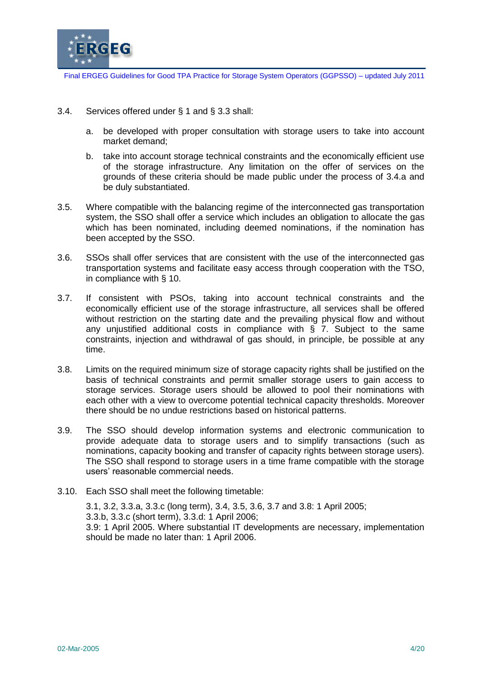

- 3.4. Services offered under § 1 and § 3.3 shall:
	- a. be developed with proper consultation with storage users to take into account market demand;
	- b. take into account storage technical constraints and the economically efficient use of the storage infrastructure. Any limitation on the offer of services on the grounds of these criteria should be made public under the process of 3.4.a and be duly substantiated.
- 3.5. Where compatible with the balancing regime of the interconnected gas transportation system, the SSO shall offer a service which includes an obligation to allocate the gas which has been nominated, including deemed nominations, if the nomination has been accepted by the SSO.
- 3.6. SSOs shall offer services that are consistent with the use of the interconnected gas transportation systems and facilitate easy access through cooperation with the TSO, in compliance with § 10.
- 3.7. If consistent with PSOs, taking into account technical constraints and the economically efficient use of the storage infrastructure, all services shall be offered without restriction on the starting date and the prevailing physical flow and without any unjustified additional costs in compliance with § 7. Subject to the same constraints, injection and withdrawal of gas should, in principle, be possible at any time.
- 3.8. Limits on the required minimum size of storage capacity rights shall be justified on the basis of technical constraints and permit smaller storage users to gain access to storage services. Storage users should be allowed to pool their nominations with each other with a view to overcome potential technical capacity thresholds. Moreover there should be no undue restrictions based on historical patterns.
- 3.9. The SSO should develop information systems and electronic communication to provide adequate data to storage users and to simplify transactions (such as nominations, capacity booking and transfer of capacity rights between storage users). The SSO shall respond to storage users in a time frame compatible with the storage users' reasonable commercial needs.
- 3.10. Each SSO shall meet the following timetable:

3.1, 3.2, 3.3.a, 3.3.c (long term), 3.4, 3.5, 3.6, 3.7 and 3.8: 1 April 2005; 3.3.b, 3.3.c (short term), 3.3.d: 1 April 2006; 3.9: 1 April 2005. Where substantial IT developments are necessary, implementation should be made no later than: 1 April 2006.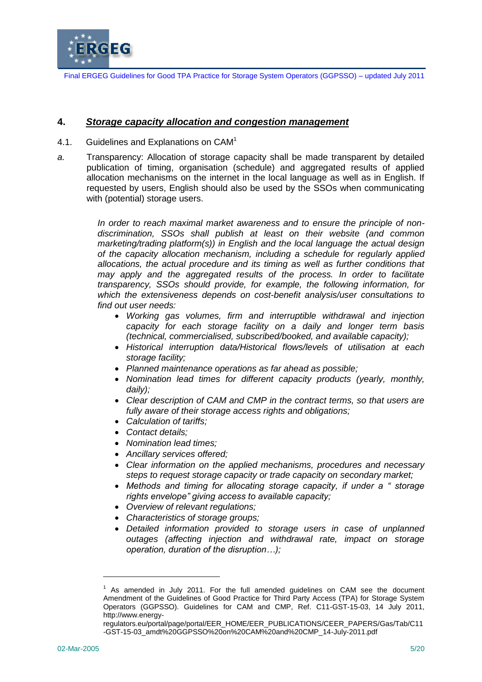

### **4.** *Storage capacity allocation and congestion management*

- 4.1. Guidelines and Explanations on CAM<sup>1</sup>
- *a.* Transparency: Allocation of storage capacity shall be made transparent by detailed publication of timing, organisation (schedule) and aggregated results of applied allocation mechanisms on the internet in the local language as well as in English. If requested by users, English should also be used by the SSOs when communicating with (potential) storage users.

*In order to reach maximal market awareness and to ensure the principle of nondiscrimination, SSOs shall publish at least on their website (and common marketing/trading platform(s)) in English and the local language the actual design of the capacity allocation mechanism, including a schedule for regularly applied allocations, the actual procedure and its timing as well as further conditions that may apply and the aggregated results of the process. In order to facilitate transparency, SSOs should provide, for example, the following information, for which the extensiveness depends on cost-benefit analysis/user consultations to find out user needs:*

- *Working gas volumes, firm and interruptible withdrawal and injection capacity for each storage facility on a daily and longer term basis (technical, commercialised, subscribed/booked, and available capacity);*
- *Historical interruption data/Historical flows/levels of utilisation at each storage facility;*
- *Planned maintenance operations as far ahead as possible;*
- *Nomination lead times for different capacity products (yearly, monthly, daily);*
- *Clear description of CAM and CMP in the contract terms, so that users are fully aware of their storage access rights and obligations;*
- *Calculation of tariffs;*
- *Contact details;*
- *Nomination lead times;*
- *Ancillary services offered;*
- *Clear information on the applied mechanisms, procedures and necessary steps to request storage capacity or trade capacity on secondary market;*
- *Methods and timing for allocating storage capacity, if under a " storage rights envelope" giving access to available capacity;*
- *Overview of relevant regulations;*
- *Characteristics of storage groups;*
- *Detailed information provided to storage users in case of unplanned outages (affecting injection and withdrawal rate, impact on storage operation, duration of the disruption…);*

-

 $1$  As amended in July 2011. For the full amended guidelines on CAM see the document Amendment of the Guidelines of Good Practice for Third Party Access (TPA) for Storage System Operators (GGPSSO). Guidelines for CAM and CMP, Ref. C11-GST-15-03, 14 July 2011, http://www.energy-

regulators.eu/portal/page/portal/EER\_HOME/EER\_PUBLICATIONS/CEER\_PAPERS/Gas/Tab/C11 -GST-15-03\_amdt%20GGPSSO%20on%20CAM%20and%20CMP\_14-July-2011.pdf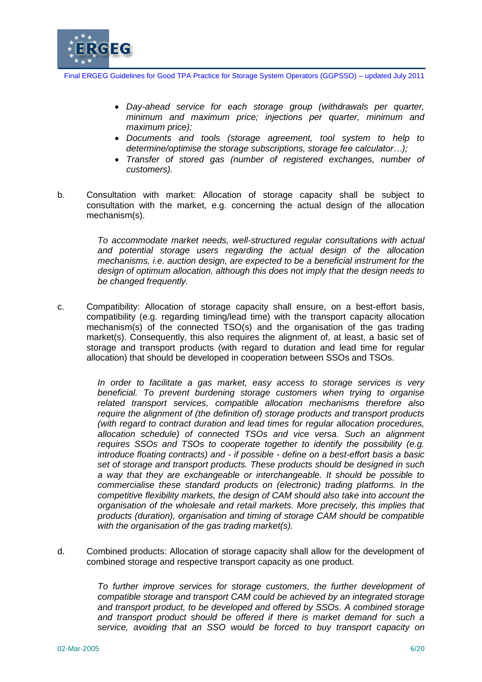

- *Day-ahead service for each storage group (withdrawals per quarter, minimum and maximum price; injections per quarter, minimum and maximum price);*
- *Documents and tools (storage agreement, tool system to help to determine/optimise the storage subscriptions, storage fee calculator…);*
- *Transfer of stored gas (number of registered exchanges, number of customers).*
- b. Consultation with market: Allocation of storage capacity shall be subject to consultation with the market, e.g. concerning the actual design of the allocation mechanism(s).

*To accommodate market needs, well-structured regular consultations with actual and potential storage users regarding the actual design of the allocation mechanisms, i.e. auction design, are expected to be a beneficial instrument for the design of optimum allocation, although this does not imply that the design needs to be changed frequently.*

c. Compatibility: Allocation of storage capacity shall ensure, on a best-effort basis, compatibility (e.g. regarding timing/lead time) with the transport capacity allocation mechanism(s) of the connected TSO(s) and the organisation of the gas trading market(s). Consequently, this also requires the alignment of, at least, a basic set of storage and transport products (with regard to duration and lead time for regular allocation) that should be developed in cooperation between SSOs and TSOs.

> *In order to facilitate a gas market, easy access to storage services is very beneficial. To prevent burdening storage customers when trying to organise related transport services, compatible allocation mechanisms therefore also require the alignment of (the definition of) storage products and transport products (with regard to contract duration and lead times for regular allocation procedures, allocation schedule) of connected TSOs and vice versa. Such an alignment requires SSOs and TSOs to cooperate together to identify the possibility (e.g. introduce floating contracts) and - if possible - define on a best-effort basis a basic set of storage and transport products. These products should be designed in such a way that they are exchangeable or interchangeable. It should be possible to commercialise these standard products on (electronic) trading platforms. In the competitive flexibility markets, the design of CAM should also take into account the organisation of the wholesale and retail markets. More precisely, this implies that products (duration), organisation and timing of storage CAM should be compatible with the organisation of the gas trading market(s).*

d. Combined products: Allocation of storage capacity shall allow for the development of combined storage and respective transport capacity as one product.

> *To further improve services for storage customers, the further development of compatible storage and transport CAM could be achieved by an integrated storage and transport product, to be developed and offered by SSOs. A combined storage and transport product should be offered if there is market demand for such a service, avoiding that an SSO would be forced to buy transport capacity on*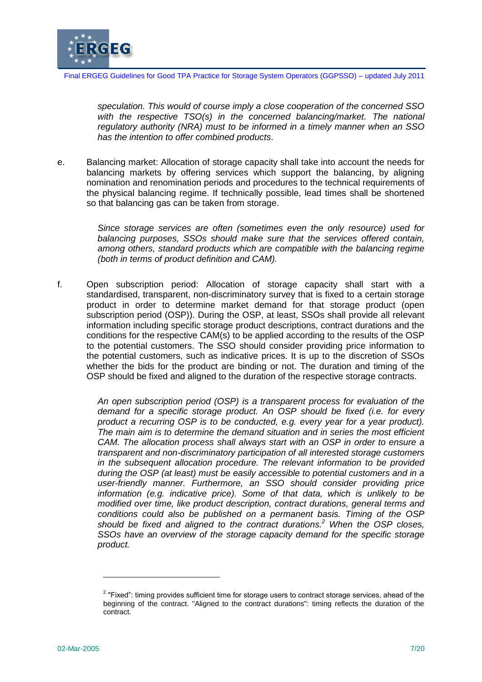

*speculation. This would of course imply a close cooperation of the concerned SSO*  with the respective TSO(s) in the concerned balancing/market. The national *regulatory authority (NRA) must to be informed in a timely manner when an SSO has the intention to offer combined products*.

e. Balancing market: Allocation of storage capacity shall take into account the needs for balancing markets by offering services which support the balancing, by aligning nomination and renomination periods and procedures to the technical requirements of the physical balancing regime. If technically possible, lead times shall be shortened so that balancing gas can be taken from storage.

> *Since storage services are often (sometimes even the only resource) used for balancing purposes, SSOs should make sure that the services offered contain, among others, standard products which are compatible with the balancing regime (both in terms of product definition and CAM).*

f. Open subscription period: Allocation of storage capacity shall start with a standardised, transparent, non-discriminatory survey that is fixed to a certain storage product in order to determine market demand for that storage product (open subscription period (OSP)). During the OSP, at least, SSOs shall provide all relevant information including specific storage product descriptions, contract durations and the conditions for the respective CAM(s) to be applied according to the results of the OSP to the potential customers. The SSO should consider providing price information to the potential customers, such as indicative prices. It is up to the discretion of SSOs whether the bids for the product are binding or not. The duration and timing of the OSP should be fixed and aligned to the duration of the respective storage contracts.

> *An open subscription period (OSP) is a transparent process for evaluation of the demand for a specific storage product. An OSP should be fixed (i.e. for every product a recurring OSP is to be conducted, e.g. every year for a year product). The main aim is to determine the demand situation and in series the most efficient CAM. The allocation process shall always start with an OSP in order to ensure a transparent and non-discriminatory participation of all interested storage customers in the subsequent allocation procedure. The relevant information to be provided during the OSP (at least) must be easily accessible to potential customers and in a user-friendly manner. Furthermore, an SSO should consider providing price information (e.g. indicative price). Some of that data, which is unlikely to be modified over time, like product description, contract durations, general terms and conditions could also be published on a permanent basis. Timing of the OSP should be fixed and aligned to the contract durations.<sup>2</sup> When the OSP closes, SSOs have an overview of the storage capacity demand for the specific storage product.*

-

 $2$  "Fixed": timing provides sufficient time for storage users to contract storage services, ahead of the beginning of the contract. "Aligned to the contract durations": timing reflects the duration of the contract.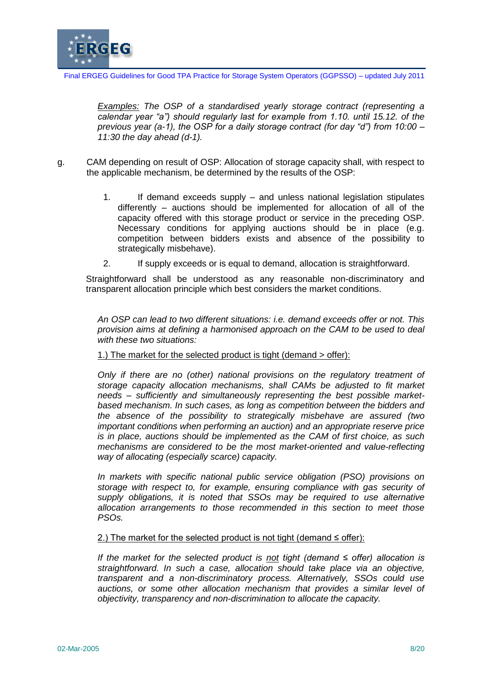

*Examples: The OSP of a standardised yearly storage contract (representing a calendar year "a") should regularly last for example from 1.10. until 15.12. of the previous year (a-1), the OSP for a daily storage contract (for day "d") from 10:00 – 11:30 the day ahead (d-1).*

- g. CAM depending on result of OSP: Allocation of storage capacity shall, with respect to the applicable mechanism, be determined by the results of the OSP:
	- 1. If demand exceeds supply and unless national legislation stipulates differently – auctions should be implemented for allocation of all of the capacity offered with this storage product or service in the preceding OSP. Necessary conditions for applying auctions should be in place (e.g. competition between bidders exists and absence of the possibility to strategically misbehave).
	- 2. If supply exceeds or is equal to demand, allocation is straightforward.

Straightforward shall be understood as any reasonable non-discriminatory and transparent allocation principle which best considers the market conditions.

*An OSP can lead to two different situations: i.e. demand exceeds offer or not. This provision aims at defining a harmonised approach on the CAM to be used to deal with these two situations:*

1.) The market for the selected product is tight (demand > offer):

*Only if there are no (other) national provisions on the regulatory treatment of storage capacity allocation mechanisms, shall CAMs be adjusted to fit market needs – sufficiently and simultaneously representing the best possible marketbased mechanism. In such cases, as long as competition between the bidders and the absence of the possibility to strategically misbehave are assured (two important conditions when performing an auction) and an appropriate reserve price is in place, auctions should be implemented as the CAM of first choice, as such mechanisms are considered to be the most market-oriented and value-reflecting way of allocating (especially scarce) capacity.* 

*In markets with specific national public service obligation (PSO) provisions on storage with respect to, for example, ensuring compliance with gas security of supply obligations, it is noted that SSOs may be required to use alternative allocation arrangements to those recommended in this section to meet those PSOs.*

#### 2.) The market for the selected product is not tight (demand  $\leq$  offer):

*If the market for the selected product is not tight (demand ≤ offer) allocation is straightforward. In such a case, allocation should take place via an objective, transparent and a non-discriminatory process. Alternatively, SSOs could use auctions, or some other allocation mechanism that provides a similar level of objectivity, transparency and non-discrimination to allocate the capacity.*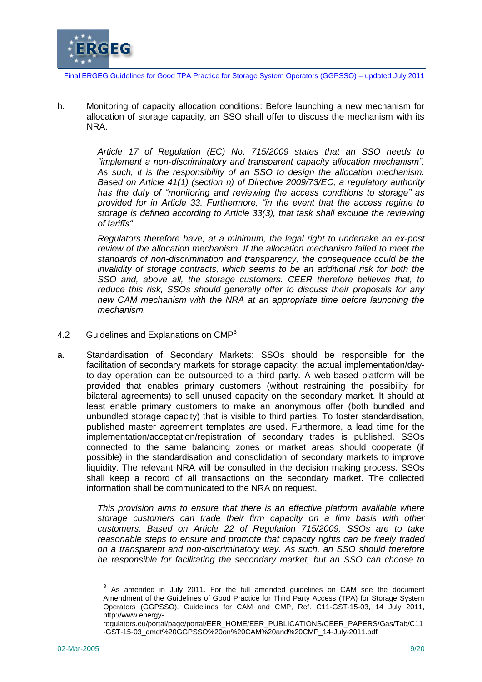

h. Monitoring of capacity allocation conditions: Before launching a new mechanism for allocation of storage capacity, an SSO shall offer to discuss the mechanism with its NRA.

> *Article 17 of Regulation (EC) No. 715/2009 states that an SSO needs to "implement a non-discriminatory and transparent capacity allocation mechanism". As such, it is the responsibility of an SSO to design the allocation mechanism. Based on Article 41(1) (section n) of Directive 2009/73/EC, a regulatory authority has the duty of "monitoring and reviewing the access conditions to storage" as provided for in Article 33. Furthermore, "in the event that the access regime to storage is defined according to Article 33(3), that task shall exclude the reviewing of tariffs".*

> *Regulators therefore have, at a minimum, the legal right to undertake an ex-post review of the allocation mechanism. If the allocation mechanism failed to meet the standards of non-discrimination and transparency, the consequence could be the invalidity of storage contracts, which seems to be an additional risk for both the SSO and, above all, the storage customers. CEER therefore believes that, to reduce this risk, SSOs should generally offer to discuss their proposals for any new CAM mechanism with the NRA at an appropriate time before launching the mechanism.*

- 4.2 Guidelines and Explanations on CMP<sup>3</sup>
- a. Standardisation of Secondary Markets: SSOs should be responsible for the facilitation of secondary markets for storage capacity: the actual implementation/dayto-day operation can be outsourced to a third party. A web-based platform will be provided that enables primary customers (without restraining the possibility for bilateral agreements) to sell unused capacity on the secondary market. It should at least enable primary customers to make an anonymous offer (both bundled and unbundled storage capacity) that is visible to third parties. To foster standardisation, published master agreement templates are used. Furthermore, a lead time for the implementation/acceptation/registration of secondary trades is published. SSOs connected to the same balancing zones or market areas should cooperate (if possible) in the standardisation and consolidation of secondary markets to improve liquidity. The relevant NRA will be consulted in the decision making process. SSOs shall keep a record of all transactions on the secondary market. The collected information shall be communicated to the NRA on request.

*This provision aims to ensure that there is an effective platform available where storage customers can trade their firm capacity on a firm basis with other customers. Based on Article 22 of Regulation 715/2009, SSOs are to take reasonable steps to ensure and promote that capacity rights can be freely traded on a transparent and non-discriminatory way. As such, an SSO should therefore be responsible for facilitating the secondary market, but an SSO can choose to* 

-

 $3$  As amended in July 2011. For the full amended guidelines on CAM see the document Amendment of the Guidelines of Good Practice for Third Party Access (TPA) for Storage System Operators (GGPSSO). Guidelines for CAM and CMP, Ref. C11-GST-15-03, 14 July 2011, http://www.energy-

regulators.eu/portal/page/portal/EER\_HOME/EER\_PUBLICATIONS/CEER\_PAPERS/Gas/Tab/C11 -GST-15-03\_amdt%20GGPSSO%20on%20CAM%20and%20CMP\_14-July-2011.pdf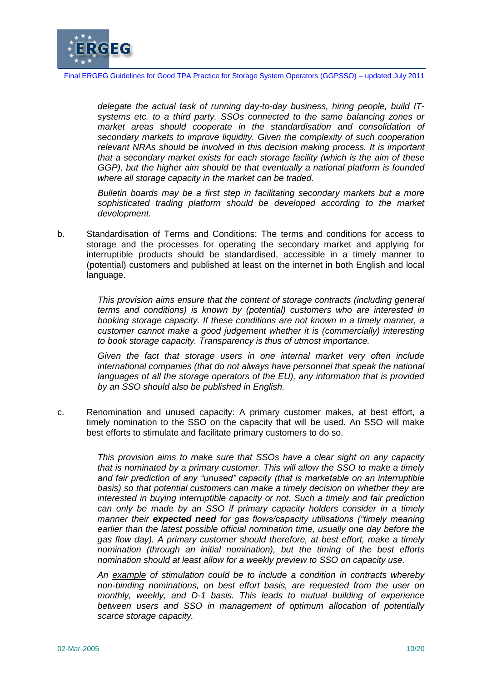

*delegate the actual task of running day-to-day business, hiring people, build ITsystems etc. to a third party. SSOs connected to the same balancing zones or market areas should cooperate in the standardisation and consolidation of secondary markets to improve liquidity. Given the complexity of such cooperation relevant NRAs should be involved in this decision making process. It is important that a secondary market exists for each storage facility (which is the aim of these GGP), but the higher aim should be that eventually a national platform is founded where all storage capacity in the market can be traded.*

*Bulletin boards may be a first step in facilitating secondary markets but a more*  sophisticated trading platform should be developed according to the market *development.* 

b. Standardisation of Terms and Conditions: The terms and conditions for access to storage and the processes for operating the secondary market and applying for interruptible products should be standardised, accessible in a timely manner to (potential) customers and published at least on the internet in both English and local language.

> *This provision aims ensure that the content of storage contracts (including general terms and conditions) is known by (potential) customers who are interested in booking storage capacity. If these conditions are not known in a timely manner, a customer cannot make a good judgement whether it is (commercially) interesting to book storage capacity. Transparency is thus of utmost importance.*

> *Given the fact that storage users in one internal market very often include international companies (that do not always have personnel that speak the national languages of all the storage operators of the EU), any information that is provided by an SSO should also be published in English.*

c. Renomination and unused capacity: A primary customer makes, at best effort, a timely nomination to the SSO on the capacity that will be used. An SSO will make best efforts to stimulate and facilitate primary customers to do so.

> *This provision aims to make sure that SSOs have a clear sight on any capacity that is nominated by a primary customer. This will allow the SSO to make a timely and fair prediction of any "unused" capacity (that is marketable on an interruptible basis) so that potential customers can make a timely decision on whether they are interested in buying interruptible capacity or not. Such a timely and fair prediction can only be made by an SSO if primary capacity holders consider in a timely manner their expected need for gas flows/capacity utilisations ("timely meaning earlier than the latest possible official nomination time, usually one day before the gas flow day). A primary customer should therefore, at best effort, make a timely nomination (through an initial nomination), but the timing of the best efforts nomination should at least allow for a weekly preview to SSO on capacity use.*

> *An example of stimulation could be to include a condition in contracts whereby non-binding nominations, on best effort basis, are requested from the user on monthly, weekly, and D-1 basis. This leads to mutual building of experience between users and SSO in management of optimum allocation of potentially scarce storage capacity.*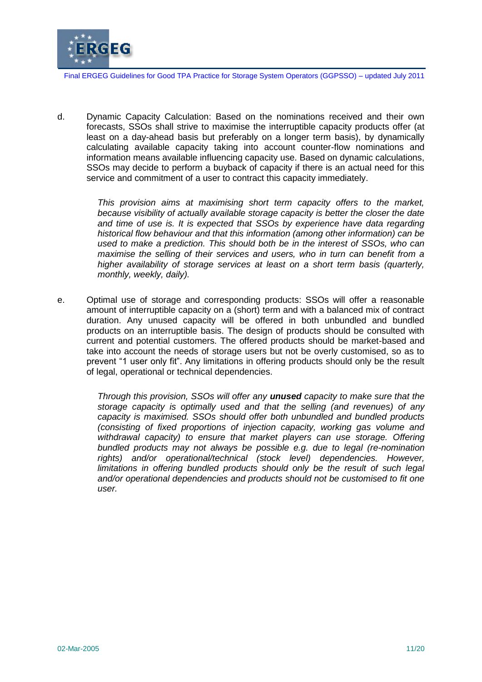

d. Dynamic Capacity Calculation: Based on the nominations received and their own forecasts, SSOs shall strive to maximise the interruptible capacity products offer (at least on a day-ahead basis but preferably on a longer term basis), by dynamically calculating available capacity taking into account counter-flow nominations and information means available influencing capacity use. Based on dynamic calculations, SSOs may decide to perform a buyback of capacity if there is an actual need for this service and commitment of a user to contract this capacity immediately.

> *This provision aims at maximising short term capacity offers to the market, because visibility of actually available storage capacity is better the closer the date and time of use is. It is expected that SSOs by experience have data regarding historical flow behaviour and that this information (among other information) can be used to make a prediction. This should both be in the interest of SSOs, who can maximise the selling of their services and users, who in turn can benefit from a higher availability of storage services at least on a short term basis (quarterly, monthly, weekly, daily).*

e. Optimal use of storage and corresponding products: SSOs will offer a reasonable amount of interruptible capacity on a (short) term and with a balanced mix of contract duration. Any unused capacity will be offered in both unbundled and bundled products on an interruptible basis. The design of products should be consulted with current and potential customers. The offered products should be market-based and take into account the needs of storage users but not be overly customised, so as to prevent "1 user only fit". Any limitations in offering products should only be the result of legal, operational or technical dependencies.

> *Through this provision, SSOs will offer any unused capacity to make sure that the storage capacity is optimally used and that the selling (and revenues) of any capacity is maximised. SSOs should offer both unbundled and bundled products (consisting of fixed proportions of injection capacity, working gas volume and withdrawal capacity) to ensure that market players can use storage. Offering bundled products may not always be possible e.g. due to legal (re-nomination rights) and/or operational/technical (stock level) dependencies. However, limitations in offering bundled products should only be the result of such legal and/or operational dependencies and products should not be customised to fit one user.*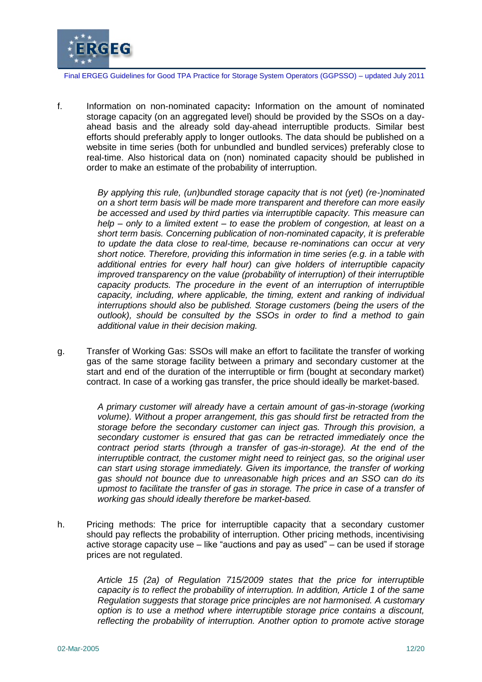

f. Information on non-nominated capacity**:** Information on the amount of nominated storage capacity (on an aggregated level) should be provided by the SSOs on a dayahead basis and the already sold day-ahead interruptible products. Similar best efforts should preferably apply to longer outlooks. The data should be published on a website in time series (both for unbundled and bundled services) preferably close to real-time. Also historical data on (non) nominated capacity should be published in order to make an estimate of the probability of interruption.

> *By applying this rule, (un)bundled storage capacity that is not (yet) (re-)nominated on a short term basis will be made more transparent and therefore can more easily be accessed and used by third parties via interruptible capacity. This measure can help – only to a limited extent – to ease the problem of congestion, at least on a short term basis. Concerning publication of non-nominated capacity, it is preferable to update the data close to real-time, because re-nominations can occur at very short notice. Therefore, providing this information in time series (e.g. in a table with additional entries for every half hour) can give holders of interruptible capacity improved transparency on the value (probability of interruption) of their interruptible capacity products. The procedure in the event of an interruption of interruptible capacity, including, where applicable, the timing, extent and ranking of individual interruptions should also be published. Storage customers (being the users of the outlook), should be consulted by the SSOs in order to find a method to gain additional value in their decision making.*

g. Transfer of Working Gas: SSOs will make an effort to facilitate the transfer of working gas of the same storage facility between a primary and secondary customer at the start and end of the duration of the interruptible or firm (bought at secondary market) contract. In case of a working gas transfer, the price should ideally be market-based.

> *A primary customer will already have a certain amount of gas-in-storage (working volume). Without a proper arrangement, this gas should first be retracted from the storage before the secondary customer can inject gas. Through this provision, a secondary customer is ensured that gas can be retracted immediately once the contract period starts (through a transfer of gas-in-storage). At the end of the interruptible contract, the customer might need to reinject gas, so the original user can start using storage immediately. Given its importance, the transfer of working gas should not bounce due to unreasonable high prices and an SSO can do its upmost to facilitate the transfer of gas in storage. The price in case of a transfer of working gas should ideally therefore be market-based.*

h. Pricing methods: The price for interruptible capacity that a secondary customer should pay reflects the probability of interruption. Other pricing methods, incentivising active storage capacity use – like "auctions and pay as used" – can be used if storage prices are not regulated.

> *Article 15 (2a) of Regulation 715/2009 states that the price for interruptible capacity is to reflect the probability of interruption. In addition, Article 1 of the same Regulation suggests that storage price principles are not harmonised. A customary option is to use a method where interruptible storage price contains a discount, reflecting the probability of interruption. Another option to promote active storage*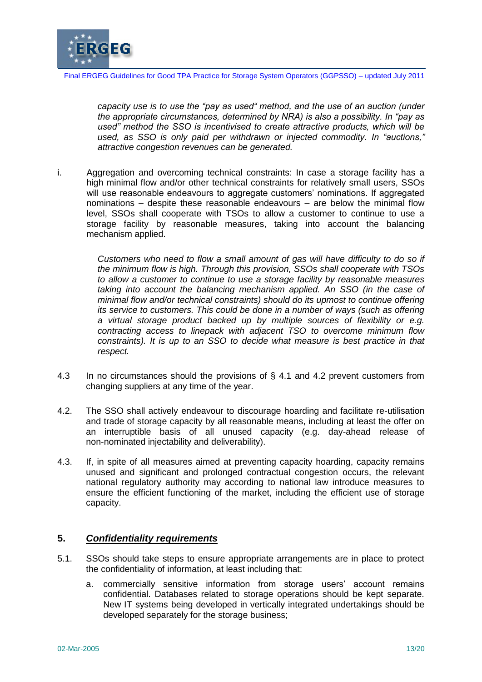

*capacity use is to use the "pay as used" method, and the use of an auction (under the appropriate circumstances, determined by NRA) is also a possibility. In "pay as used" method the SSO is incentivised to create attractive products, which will be used, as SSO is only paid per withdrawn or injected commodity. In "auctions," attractive congestion revenues can be generated.*

i. Aggregation and overcoming technical constraints: In case a storage facility has a high minimal flow and/or other technical constraints for relatively small users, SSOs will use reasonable endeavours to aggregate customers' nominations. If aggregated nominations – despite these reasonable endeavours – are below the minimal flow level, SSOs shall cooperate with TSOs to allow a customer to continue to use a storage facility by reasonable measures, taking into account the balancing mechanism applied.

> *Customers who need to flow a small amount of gas will have difficulty to do so if the minimum flow is high. Through this provision, SSOs shall cooperate with TSOs to allow a customer to continue to use a storage facility by reasonable measures taking into account the balancing mechanism applied. An SSO (in the case of minimal flow and/or technical constraints) should do its upmost to continue offering its service to customers. This could be done in a number of ways (such as offering a virtual storage product backed up by multiple sources of flexibility or e.g. contracting access to linepack with adjacent TSO to overcome minimum flow constraints). It is up to an SSO to decide what measure is best practice in that respect.*

- 4.3 In no circumstances should the provisions of § 4.1 and 4.2 prevent customers from changing suppliers at any time of the year.
- 4.2. The SSO shall actively endeavour to discourage hoarding and facilitate re-utilisation and trade of storage capacity by all reasonable means, including at least the offer on an interruptible basis of all unused capacity (e.g. day-ahead release of non-nominated injectability and deliverability).
- 4.3. If, in spite of all measures aimed at preventing capacity hoarding, capacity remains unused and significant and prolonged contractual congestion occurs, the relevant national regulatory authority may according to national law introduce measures to ensure the efficient functioning of the market, including the efficient use of storage capacity.

### **5.** *Confidentiality requirements*

- 5.1. SSOs should take steps to ensure appropriate arrangements are in place to protect the confidentiality of information, at least including that:
	- a. commercially sensitive information from storage users' account remains confidential. Databases related to storage operations should be kept separate. New IT systems being developed in vertically integrated undertakings should be developed separately for the storage business;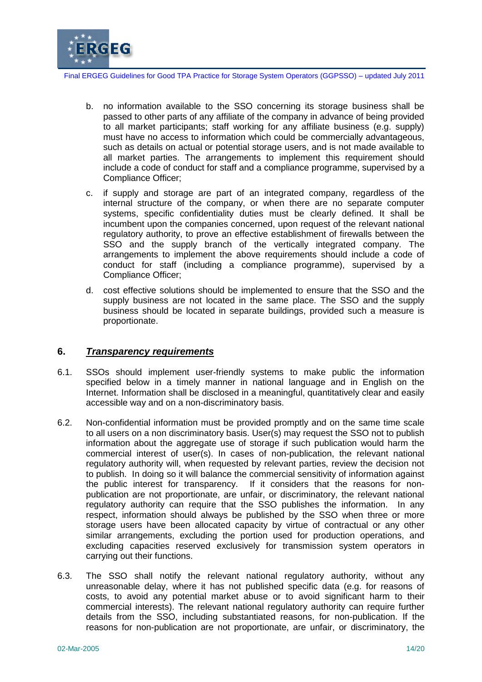

- b. no information available to the SSO concerning its storage business shall be passed to other parts of any affiliate of the company in advance of being provided to all market participants; staff working for any affiliate business (e.g. supply) must have no access to information which could be commercially advantageous, such as details on actual or potential storage users, and is not made available to all market parties. The arrangements to implement this requirement should include a code of conduct for staff and a compliance programme, supervised by a Compliance Officer;
- c. if supply and storage are part of an integrated company, regardless of the internal structure of the company, or when there are no separate computer systems, specific confidentiality duties must be clearly defined. It shall be incumbent upon the companies concerned, upon request of the relevant national regulatory authority, to prove an effective establishment of firewalls between the SSO and the supply branch of the vertically integrated company. The arrangements to implement the above requirements should include a code of conduct for staff (including a compliance programme), supervised by a Compliance Officer;
- d. cost effective solutions should be implemented to ensure that the SSO and the supply business are not located in the same place. The SSO and the supply business should be located in separate buildings, provided such a measure is proportionate.

#### **6.** *Transparency requirements*

- 6.1. SSOs should implement user-friendly systems to make public the information specified below in a timely manner in national language and in English on the Internet. Information shall be disclosed in a meaningful, quantitatively clear and easily accessible way and on a non-discriminatory basis.
- 6.2. Non-confidential information must be provided promptly and on the same time scale to all users on a non discriminatory basis. User(s) may request the SSO not to publish information about the aggregate use of storage if such publication would harm the commercial interest of user(s). In cases of non-publication, the relevant national regulatory authority will, when requested by relevant parties, review the decision not to publish. In doing so it will balance the commercial sensitivity of information against the public interest for transparency. If it considers that the reasons for nonpublication are not proportionate, are unfair, or discriminatory, the relevant national regulatory authority can require that the SSO publishes the information. In any respect, information should always be published by the SSO when three or more storage users have been allocated capacity by virtue of contractual or any other similar arrangements, excluding the portion used for production operations, and excluding capacities reserved exclusively for transmission system operators in carrying out their functions.
- 6.3. The SSO shall notify the relevant national regulatory authority, without any unreasonable delay, where it has not published specific data (e.g. for reasons of costs, to avoid any potential market abuse or to avoid significant harm to their commercial interests). The relevant national regulatory authority can require further details from the SSO, including substantiated reasons, for non-publication. If the reasons for non-publication are not proportionate, are unfair, or discriminatory, the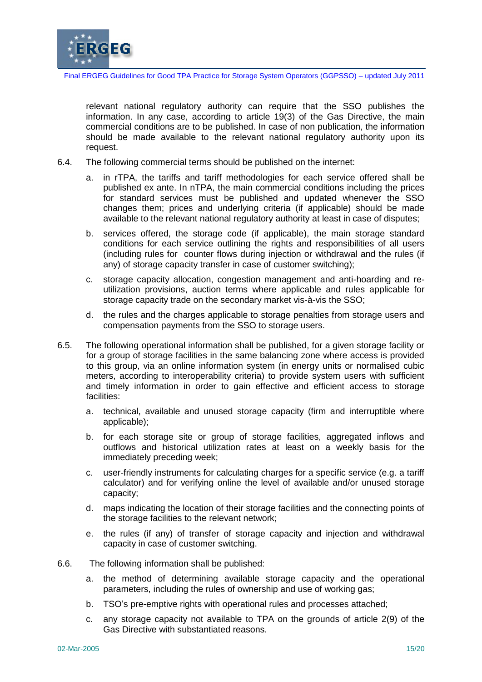

relevant national regulatory authority can require that the SSO publishes the information. In any case, according to article 19(3) of the Gas Directive, the main commercial conditions are to be published. In case of non publication, the information should be made available to the relevant national regulatory authority upon its request.

- 6.4. The following commercial terms should be published on the internet:
	- in rTPA, the tariffs and tariff methodologies for each service offered shall be published ex ante. In nTPA, the main commercial conditions including the prices for standard services must be published and updated whenever the SSO changes them; prices and underlying criteria (if applicable) should be made available to the relevant national regulatory authority at least in case of disputes;
	- b. services offered, the storage code (if applicable), the main storage standard conditions for each service outlining the rights and responsibilities of all users (including rules for counter flows during injection or withdrawal and the rules (if any) of storage capacity transfer in case of customer switching);
	- c. storage capacity allocation, congestion management and anti-hoarding and reutilization provisions, auction terms where applicable and rules applicable for storage capacity trade on the secondary market vis-à-vis the SSO;
	- d. the rules and the charges applicable to storage penalties from storage users and compensation payments from the SSO to storage users.
- 6.5. The following operational information shall be published, for a given storage facility or for a group of storage facilities in the same balancing zone where access is provided to this group, via an online information system (in energy units or normalised cubic meters, according to interoperability criteria) to provide system users with sufficient and timely information in order to gain effective and efficient access to storage facilities:
	- a. technical, available and unused storage capacity (firm and interruptible where applicable);
	- b. for each storage site or group of storage facilities, aggregated inflows and outflows and historical utilization rates at least on a weekly basis for the immediately preceding week;
	- c. user-friendly instruments for calculating charges for a specific service (e.g. a tariff calculator) and for verifying online the level of available and/or unused storage capacity;
	- d. maps indicating the location of their storage facilities and the connecting points of the storage facilities to the relevant network;
	- e. the rules (if any) of transfer of storage capacity and injection and withdrawal capacity in case of customer switching.
- 6.6. The following information shall be published:
	- a. the method of determining available storage capacity and the operational parameters, including the rules of ownership and use of working gas;
	- b. TSO's pre-emptive rights with operational rules and processes attached;
	- c. any storage capacity not available to TPA on the grounds of article 2(9) of the Gas Directive with substantiated reasons.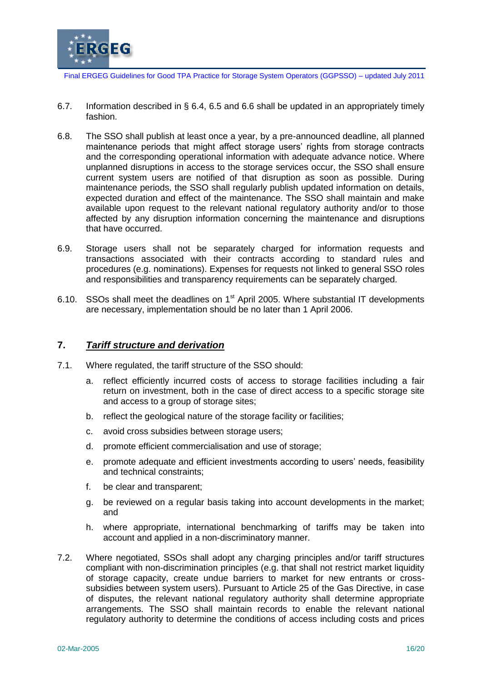

- 6.7. Information described in § 6.4, 6.5 and 6.6 shall be updated in an appropriately timely fashion.
- 6.8. The SSO shall publish at least once a year, by a pre-announced deadline, all planned maintenance periods that might affect storage users' rights from storage contracts and the corresponding operational information with adequate advance notice. Where unplanned disruptions in access to the storage services occur, the SSO shall ensure current system users are notified of that disruption as soon as possible. During maintenance periods, the SSO shall regularly publish updated information on details, expected duration and effect of the maintenance. The SSO shall maintain and make available upon request to the relevant national regulatory authority and/or to those affected by any disruption information concerning the maintenance and disruptions that have occurred.
- 6.9. Storage users shall not be separately charged for information requests and transactions associated with their contracts according to standard rules and procedures (e.g. nominations). Expenses for requests not linked to general SSO roles and responsibilities and transparency requirements can be separately charged.
- 6.10. SSOs shall meet the deadlines on 1<sup>st</sup> April 2005. Where substantial IT developments are necessary, implementation should be no later than 1 April 2006.

#### **7.** *Tariff structure and derivation*

- 7.1. Where regulated, the tariff structure of the SSO should:
	- a. reflect efficiently incurred costs of access to storage facilities including a fair return on investment, both in the case of direct access to a specific storage site and access to a group of storage sites;
	- b. reflect the geological nature of the storage facility or facilities;
	- c. avoid cross subsidies between storage users;
	- d. promote efficient commercialisation and use of storage;
	- e. promote adequate and efficient investments according to users' needs, feasibility and technical constraints;
	- f. be clear and transparent;
	- g. be reviewed on a regular basis taking into account developments in the market; and
	- h. where appropriate, international benchmarking of tariffs may be taken into account and applied in a non-discriminatory manner.
- 7.2. Where negotiated, SSOs shall adopt any charging principles and/or tariff structures compliant with non-discrimination principles (e.g. that shall not restrict market liquidity of storage capacity, create undue barriers to market for new entrants or crosssubsidies between system users). Pursuant to Article 25 of the Gas Directive, in case of disputes, the relevant national regulatory authority shall determine appropriate arrangements. The SSO shall maintain records to enable the relevant national regulatory authority to determine the conditions of access including costs and prices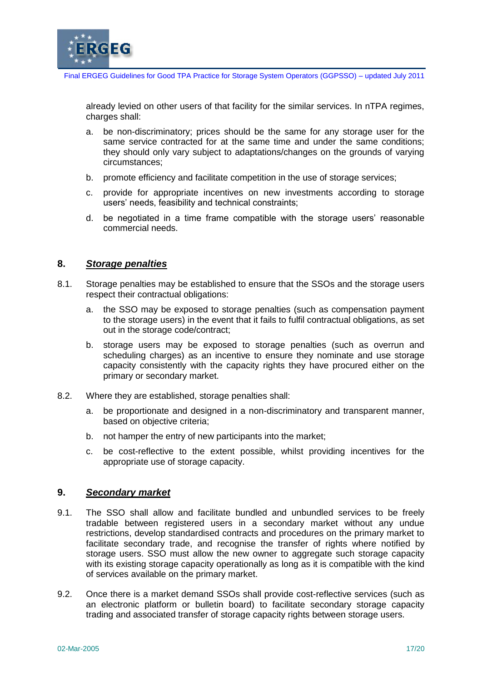

already levied on other users of that facility for the similar services. In nTPA regimes, charges shall:

- a. be non-discriminatory; prices should be the same for any storage user for the same service contracted for at the same time and under the same conditions; they should only vary subject to adaptations/changes on the grounds of varying circumstances;
- b. promote efficiency and facilitate competition in the use of storage services;
- c. provide for appropriate incentives on new investments according to storage users' needs, feasibility and technical constraints;
- d. be negotiated in a time frame compatible with the storage users' reasonable commercial needs.

#### **8.** *Storage penalties*

- 8.1. Storage penalties may be established to ensure that the SSOs and the storage users respect their contractual obligations:
	- a. the SSO may be exposed to storage penalties (such as compensation payment to the storage users) in the event that it fails to fulfil contractual obligations, as set out in the storage code/contract;
	- b. storage users may be exposed to storage penalties (such as overrun and scheduling charges) as an incentive to ensure they nominate and use storage capacity consistently with the capacity rights they have procured either on the primary or secondary market.
- 8.2. Where they are established, storage penalties shall:
	- a. be proportionate and designed in a non-discriminatory and transparent manner, based on objective criteria;
	- b. not hamper the entry of new participants into the market;
	- c. be cost-reflective to the extent possible, whilst providing incentives for the appropriate use of storage capacity.

#### **9.** *Secondary market*

- 9.1. The SSO shall allow and facilitate bundled and unbundled services to be freely tradable between registered users in a secondary market without any undue restrictions, develop standardised contracts and procedures on the primary market to facilitate secondary trade, and recognise the transfer of rights where notified by storage users. SSO must allow the new owner to aggregate such storage capacity with its existing storage capacity operationally as long as it is compatible with the kind of services available on the primary market.
- 9.2. Once there is a market demand SSOs shall provide cost-reflective services (such as an electronic platform or bulletin board) to facilitate secondary storage capacity trading and associated transfer of storage capacity rights between storage users.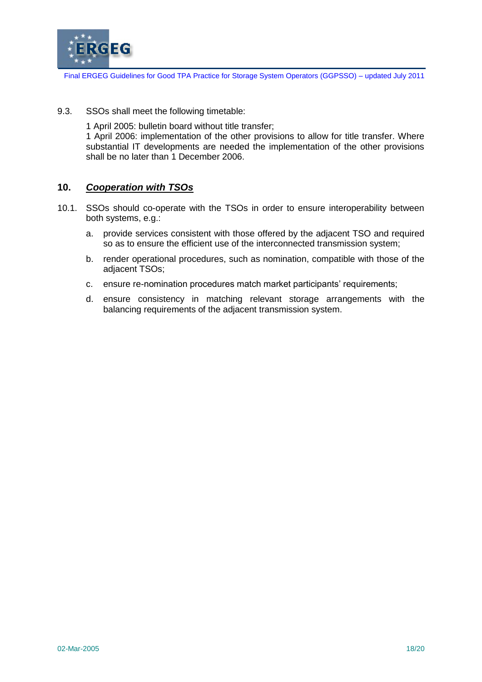

9.3. SSOs shall meet the following timetable:

1 April 2005: bulletin board without title transfer; 1 April 2006: implementation of the other provisions to allow for title transfer. Where substantial IT developments are needed the implementation of the other provisions shall be no later than 1 December 2006.

## **10.** *Cooperation with TSOs*

- 10.1. SSOs should co-operate with the TSOs in order to ensure interoperability between both systems, e.g.:
	- a. provide services consistent with those offered by the adjacent TSO and required so as to ensure the efficient use of the interconnected transmission system;
	- b. render operational procedures, such as nomination, compatible with those of the adjacent TSOs;
	- c. ensure re-nomination procedures match market participants' requirements;
	- d. ensure consistency in matching relevant storage arrangements with the balancing requirements of the adjacent transmission system.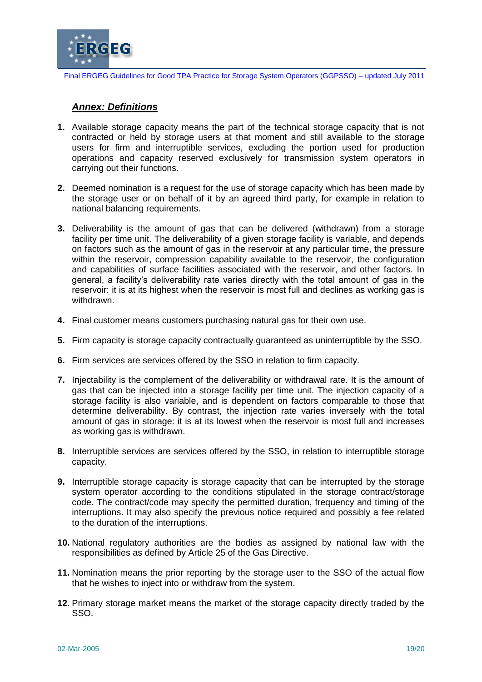

### *Annex: Definitions*

- **1.** Available storage capacity means the part of the technical storage capacity that is not contracted or held by storage users at that moment and still available to the storage users for firm and interruptible services, excluding the portion used for production operations and capacity reserved exclusively for transmission system operators in carrying out their functions.
- **2.** Deemed nomination is a request for the use of storage capacity which has been made by the storage user or on behalf of it by an agreed third party, for example in relation to national balancing requirements.
- **3.** Deliverability is the amount of gas that can be delivered (withdrawn) from a storage facility per time unit. The deliverability of a given storage facility is variable, and depends on factors such as the amount of gas in the reservoir at any particular time, the pressure within the reservoir, compression capability available to the reservoir, the configuration and capabilities of surface facilities associated with the reservoir, and other factors. In general, a facility's deliverability rate varies directly with the total amount of gas in the reservoir: it is at its highest when the reservoir is most full and declines as working gas is withdrawn.
- **4.** Final customer means customers purchasing natural gas for their own use.
- **5.** Firm capacity is storage capacity contractually guaranteed as uninterruptible by the SSO.
- **6.** Firm services are services offered by the SSO in relation to firm capacity.
- **7.** Injectability is the complement of the deliverability or withdrawal rate. It is the amount of gas that can be injected into a storage facility per time unit. The injection capacity of a storage facility is also variable, and is dependent on factors comparable to those that determine deliverability. By contrast, the injection rate varies inversely with the total amount of gas in storage: it is at its lowest when the reservoir is most full and increases as working gas is withdrawn.
- **8.** Interruptible services are services offered by the SSO, in relation to interruptible storage capacity.
- **9.** Interruptible storage capacity is storage capacity that can be interrupted by the storage system operator according to the conditions stipulated in the storage contract/storage code. The contract/code may specify the permitted duration, frequency and timing of the interruptions. It may also specify the previous notice required and possibly a fee related to the duration of the interruptions.
- **10.** National regulatory authorities are the bodies as assigned by national law with the responsibilities as defined by Article 25 of the Gas Directive.
- **11.** Nomination means the prior reporting by the storage user to the SSO of the actual flow that he wishes to inject into or withdraw from the system.
- **12.** Primary storage market means the market of the storage capacity directly traded by the SSO.